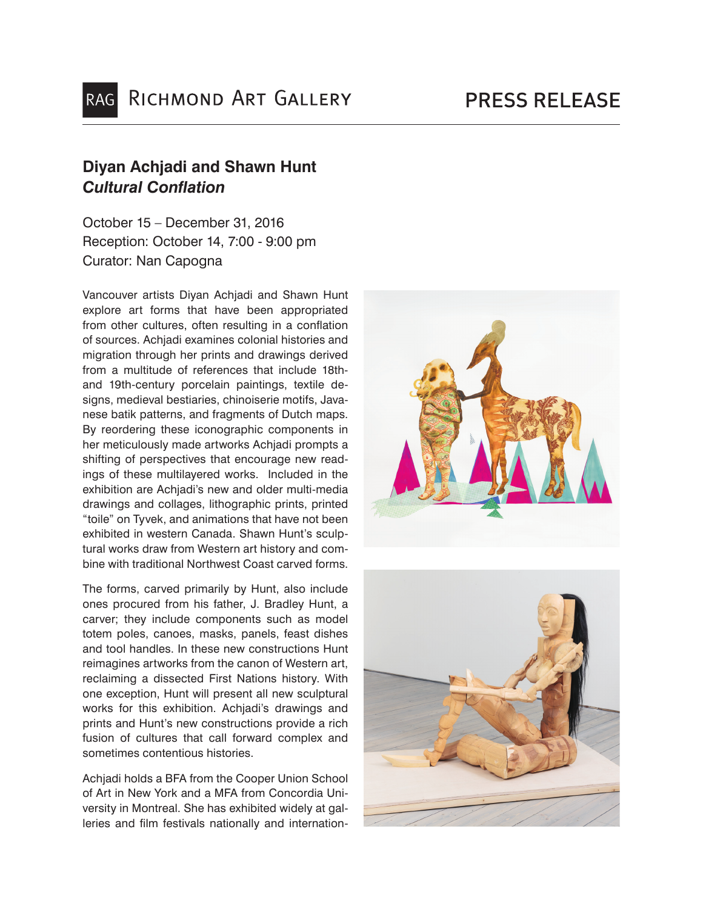## **Diyan Achjadi and Shawn Hunt** *Cultural Conflation*

October 15 – December 31, 2016 Reception: October 14, 7:00 - 9:00 pm Curator: Nan Capogna

Vancouver artists Diyan Achjadi and Shawn Hunt explore art forms that have been appropriated from other cultures, often resulting in a conflation of sources. Achjadi examines colonial histories and migration through her prints and drawings derived from a multitude of references that include 18thand 19th-century porcelain paintings, textile designs, medieval bestiaries, chinoiserie motifs, Javanese batik patterns, and fragments of Dutch maps. By reordering these iconographic components in her meticulously made artworks Achjadi prompts a shifting of perspectives that encourage new readings of these multilayered works. Included in the exhibition are Achjadi's new and older multi-media drawings and collages, lithographic prints, printed "toile" on Tyvek, and animations that have not been exhibited in western Canada. Shawn Hunt's sculptural works draw from Western art history and combine with traditional Northwest Coast carved forms.

The forms, carved primarily by Hunt, also include ones procured from his father, J. Bradley Hunt, a carver; they include components such as model totem poles, canoes, masks, panels, feast dishes and tool handles. In these new constructions Hunt reimagines artworks from the canon of Western art, reclaiming a dissected First Nations history. With one exception, Hunt will present all new sculptural works for this exhibition. Achjadi's drawings and prints and Hunt's new constructions provide a rich fusion of cultures that call forward complex and sometimes contentious histories.

Achiadi holds a BFA from the Cooper Union School of Art in New York and a MFA from Concordia University in Montreal. She has exhibited widely at galleries and film festivals nationally and internation-